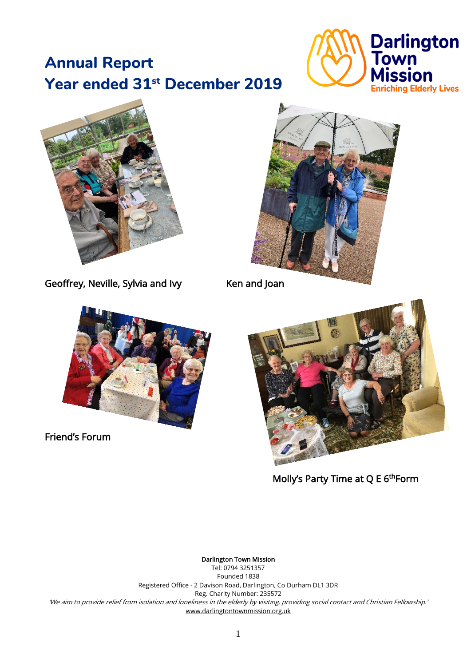# **Annual Report Year ended 31st December 2019**





Geoffrey, Neville, Sylvia and Ivy Ken and Joan





Friend's Forum



Molly's Party Time at  $Q \, E \, 6^{th}$ Form

Darlington Town Mission

Tel: 0794 3251357 Founded 1838 Registered Office - 2 Davison Road, Darlington, Co Durham DL1 3DR Reg. Charity Number: 235572 'We aim to provide relief from isolation and loneliness in the elderly by visiting, providing social contact and Christian Fellowship.' [www.darlingtontownmission.org.uk](http://www.darlingtontownmission.org.uk/)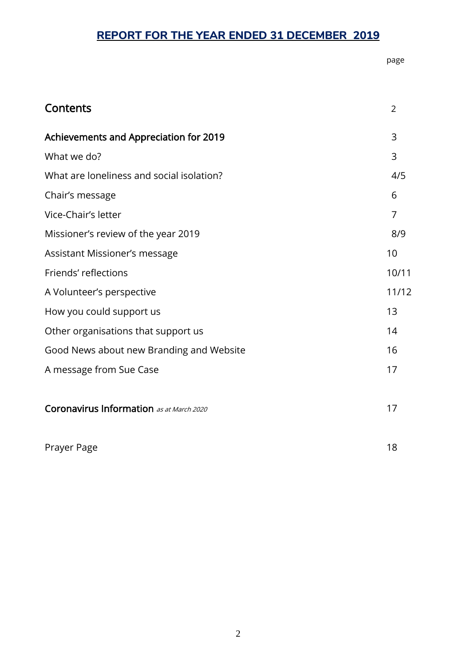# **REPORT FOR THE YEAR ENDED 31 DECEMBER 2019**

page and the contract of the contract of the contract of the contract of the contract of the contract of the contract of the contract of the contract of the contract of the contract of the contract of the contract of the c

| Contents                                  | $\overline{2}$ |
|-------------------------------------------|----------------|
| Achievements and Appreciation for 2019    | 3              |
| What we do?                               | 3              |
| What are loneliness and social isolation? | 4/5            |
| Chair's message                           | 6              |
| Vice-Chair's letter                       | 7              |
| Missioner's review of the year 2019       | 8/9            |
| Assistant Missioner's message             | 10             |
| Friends' reflections                      | 10/11          |
| A Volunteer's perspective                 | 11/12          |
| How you could support us                  | 13             |
| Other organisations that support us       | 14             |
| Good News about new Branding and Website  | 16             |
| A message from Sue Case                   | 17             |
| Coronavirus Information as at March 2020  | 17             |
| Prayer Page                               | 18             |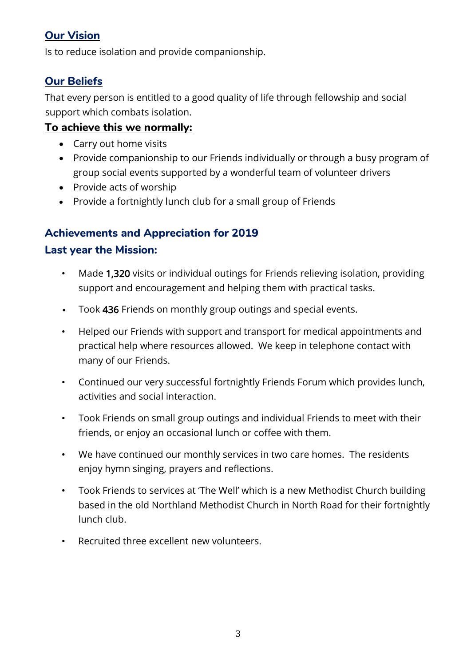## **Our Vision**

Is to reduce isolation and provide companionship.

## **Our Beliefs**

That every person is entitled to a good quality of life through fellowship and social support which combats isolation.

## **To achieve this we normally:**

- Carry out home visits
- Provide companionship to our Friends individually or through a busy program of group social events supported by a wonderful team of volunteer drivers
- Provide acts of worship
- Provide a fortnightly lunch club for a small group of Friends

## **Achievements and Appreciation for 2019**

## **Last year the Mission:**

- Made 1,320 visits or individual outings for Friends relieving isolation, providing support and encouragement and helping them with practical tasks.
- Took 436 Friends on monthly group outings and special events.
- Helped our Friends with support and transport for medical appointments and practical help where resources allowed. We keep in telephone contact with many of our Friends.
- Continued our very successful fortnightly Friends Forum which provides lunch, activities and social interaction.
- Took Friends on small group outings and individual Friends to meet with their friends, or enjoy an occasional lunch or coffee with them.
- We have continued our monthly services in two care homes. The residents enjoy hymn singing, prayers and reflections.
- Took Friends to services at 'The Well' which is a new Methodist Church building based in the old Northland Methodist Church in North Road for their fortnightly lunch club.
- Recruited three excellent new volunteers.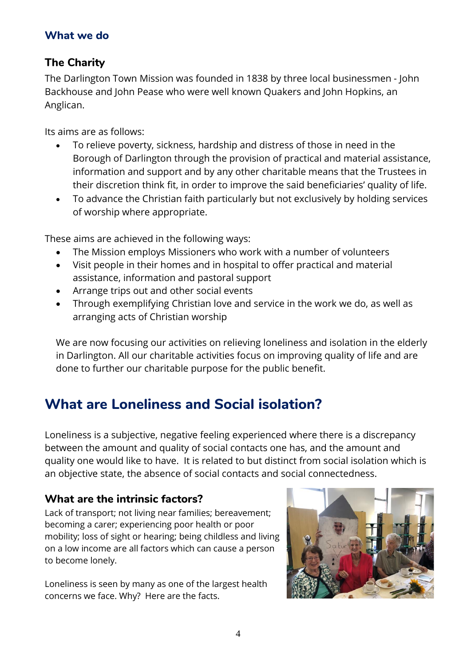#### **What we do**

## **The Charity**

The Darlington Town Mission was founded in 1838 by three local businessmen - John Backhouse and John Pease who were well known Quakers and John Hopkins, an Anglican.

Its aims are as follows:

- To relieve poverty, sickness, hardship and distress of those in need in the Borough of Darlington through the provision of practical and material assistance, information and support and by any other charitable means that the Trustees in their discretion think fit, in order to improve the said beneficiaries' quality of life.
- To advance the Christian faith particularly but not exclusively by holding services of worship where appropriate.

These aims are achieved in the following ways:

- The Mission employs Missioners who work with a number of volunteers
- Visit people in their homes and in hospital to offer practical and material assistance, information and pastoral support
- Arrange trips out and other social events
- Through exemplifying Christian love and service in the work we do, as well as arranging acts of Christian worship

We are now focusing our activities on relieving loneliness and isolation in the elderly in Darlington. All our charitable activities focus on improving quality of life and are done to further our charitable purpose for the public benefit.

# **What are Loneliness and Social isolation?**

Loneliness is a subjective, negative feeling experienced where there is a discrepancy between the amount and quality of social contacts one has, and the amount and quality one would like to have. It is related to but distinct from social isolation which is an objective state, the absence of social contacts and social connectedness.

## **What are the intrinsic factors?**

Lack of transport; not living near families; bereavement; becoming a carer; experiencing poor health or poor mobility; loss of sight or hearing; being childless and living on a low income are all factors which can cause a person to become lonely.

Loneliness is seen by many as one of the largest health concerns we face. Why? Here are the facts.

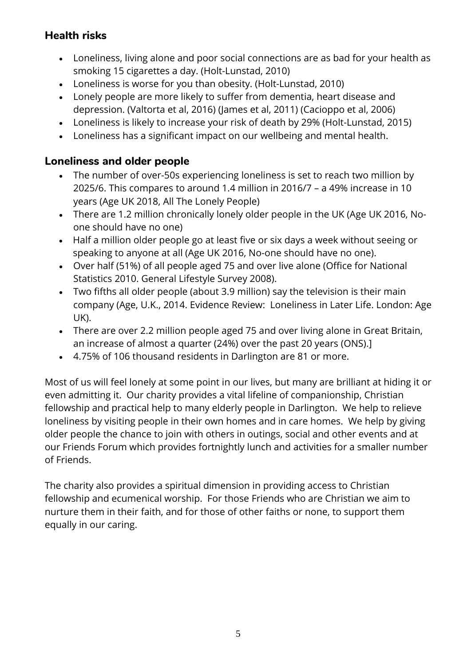## **Health risks**

- Loneliness, living alone and poor social connections are as bad for your health as smoking 15 cigarettes a day. (Holt-Lunstad, 2010)
- Loneliness is worse for you than obesity. (Holt-Lunstad, 2010)
- Lonely people are more likely to suffer from dementia, heart disease and depression. (Valtorta et al, 2016) (James et al, 2011) (Cacioppo et al, 2006)
- Loneliness is likely to increase your risk of death by 29% (Holt-Lunstad, 2015)
- Loneliness has a significant impact on our wellbeing and mental health.

## **Loneliness and older people**

- The number of over-50s experiencing loneliness is set to reach two million by 2025/6. This compares to around 1.4 million in 2016/7 – a 49% increase in 10 years (Age UK 2018, All The Lonely People)
- There are 1.2 million chronically lonely older people in the UK (Age UK 2016, Noone should have no one)
- Half a million older people go at least five or six days a week without seeing or speaking to anyone at all (Age UK 2016, No-one should have no one).
- Over half (51%) of all people aged 75 and over live alone (Office for National Statistics 2010. General Lifestyle Survey 2008).
- Two fifths all older people (about 3.9 million) say the television is their main company (Age, U.K., 2014. Evidence Review: Loneliness in Later Life. London: Age UK).
- There are over 2.2 million people aged 75 and over living alone in Great Britain, an increase of almost a quarter (24%) over the past 20 years (ONS).]
- 4.75% of 106 thousand residents in Darlington are 81 or more.

Most of us will feel lonely at some point in our lives, but many are brilliant at hiding it or even admitting it. Our charity provides a vital lifeline of companionship, Christian fellowship and practical help to many elderly people in Darlington. We help to relieve loneliness by visiting people in their own homes and in care homes. We help by giving older people the chance to join with others in outings, social and other events and at our Friends Forum which provides fortnightly lunch and activities for a smaller number of Friends.

The charity also provides a spiritual dimension in providing access to Christian fellowship and ecumenical worship. For those Friends who are Christian we aim to nurture them in their faith, and for those of other faiths or none, to support them equally in our caring.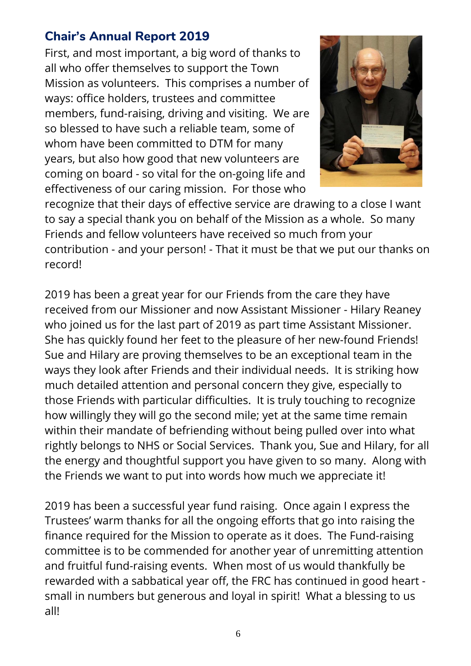# **Chair's Annual Report 2019**

First, and most important, a big word of thanks to all who offer themselves to support the Town Mission as volunteers. This comprises a number of ways: office holders, trustees and committee members, fund-raising, driving and visiting. We are so blessed to have such a reliable team, some of whom have been committed to DTM for many years, but also how good that new volunteers are coming on board - so vital for the on-going life and effectiveness of our caring mission. For those who



recognize that their days of effective service are drawing to a close I want to say a special thank you on behalf of the Mission as a whole. So many Friends and fellow volunteers have received so much from your contribution - and your person! - That it must be that we put our thanks on record!

2019 has been a great year for our Friends from the care they have received from our Missioner and now Assistant Missioner - Hilary Reaney who joined us for the last part of 2019 as part time Assistant Missioner. She has quickly found her feet to the pleasure of her new-found Friends! Sue and Hilary are proving themselves to be an exceptional team in the ways they look after Friends and their individual needs. It is striking how much detailed attention and personal concern they give, especially to those Friends with particular difficulties. It is truly touching to recognize how willingly they will go the second mile; yet at the same time remain within their mandate of befriending without being pulled over into what rightly belongs to NHS or Social Services. Thank you, Sue and Hilary, for all the energy and thoughtful support you have given to so many. Along with the Friends we want to put into words how much we appreciate it!

2019 has been a successful year fund raising. Once again I express the Trustees' warm thanks for all the ongoing efforts that go into raising the finance required for the Mission to operate as it does. The Fund-raising committee is to be commended for another year of unremitting attention and fruitful fund-raising events. When most of us would thankfully be rewarded with a sabbatical year off, the FRC has continued in good heart small in numbers but generous and loyal in spirit! What a blessing to us all!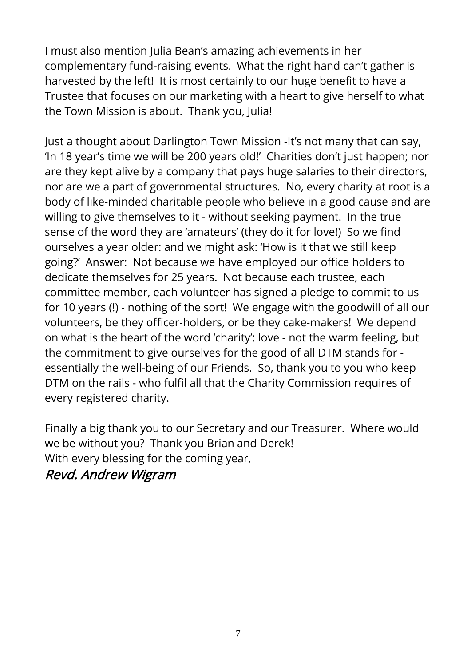I must also mention Julia Bean's amazing achievements in her complementary fund-raising events. What the right hand can't gather is harvested by the left! It is most certainly to our huge benefit to have a Trustee that focuses on our marketing with a heart to give herself to what the Town Mission is about. Thank you, Julia!

Just a thought about Darlington Town Mission -It's not many that can say, 'In 18 year's time we will be 200 years old!' Charities don't just happen; nor are they kept alive by a company that pays huge salaries to their directors, nor are we a part of governmental structures. No, every charity at root is a body of like-minded charitable people who believe in a good cause and are willing to give themselves to it - without seeking payment. In the true sense of the word they are 'amateurs' (they do it for love!) So we find ourselves a year older: and we might ask: 'How is it that we still keep going?' Answer: Not because we have employed our office holders to dedicate themselves for 25 years. Not because each trustee, each committee member, each volunteer has signed a pledge to commit to us for 10 years (!) - nothing of the sort! We engage with the goodwill of all our volunteers, be they officer-holders, or be they cake-makers! We depend on what is the heart of the word 'charity': love - not the warm feeling, but the commitment to give ourselves for the good of all DTM stands for essentially the well-being of our Friends. So, thank you to you who keep DTM on the rails - who fulfil all that the Charity Commission requires of every registered charity.

Finally a big thank you to our Secretary and our Treasurer. Where would we be without you? Thank you Brian and Derek! With every blessing for the coming year,

Revd. Andrew Wigram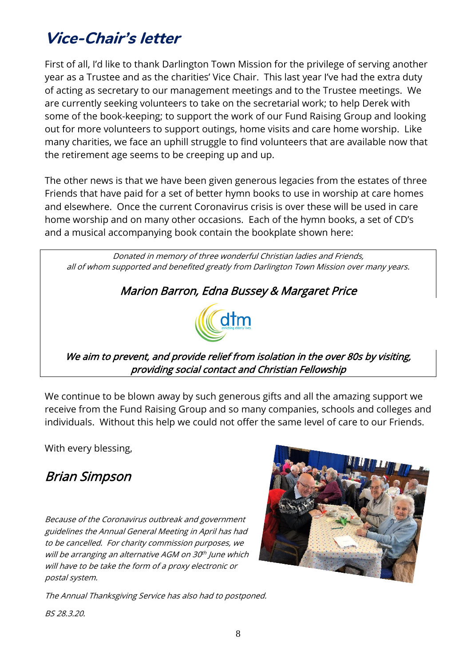# **Vice-Chair's letter**

First of all, I'd like to thank Darlington Town Mission for the privilege of serving another year as a Trustee and as the charities' Vice Chair. This last year I've had the extra duty of acting as secretary to our management meetings and to the Trustee meetings. We are currently seeking volunteers to take on the secretarial work; to help Derek with some of the book-keeping; to support the work of our Fund Raising Group and looking out for more volunteers to support outings, home visits and care home worship. Like many charities, we face an uphill struggle to find volunteers that are available now that the retirement age seems to be creeping up and up.

The other news is that we have been given generous legacies from the estates of three Friends that have paid for a set of better hymn books to use in worship at care homes and elsewhere. Once the current Coronavirus crisis is over these will be used in care home worship and on many other occasions. Each of the hymn books, a set of CD's and a musical accompanying book contain the bookplate shown here:

Donated in memory of three wonderful Christian ladies and Friends, all of whom supported and benefited greatly from Darlington Town Mission over many years.

# Marion Barron, Edna Bussey & Margaret Price



We aim to prevent, and provide relief from isolation in the over 80s by visiting, providing social contact and Christian Fellowship

We continue to be blown away by such generous gifts and all the amazing support we receive from the Fund Raising Group and so many companies, schools and colleges and individuals. Without this help we could not offer the same level of care to our Friends.

With every blessing,

# Brian Simpson

Because of the Coronavirus outbreak and government guidelines the Annual General Meeting in April has had to be cancelled. For charity commission purposes, we will be arranging an alternative AGM on 30<sup>th</sup> June which will have to be take the form of <sup>a</sup> proxy electronic or postal system.



The Annual Thanksgiving Service has also had to postponed.

BS 28.3.20.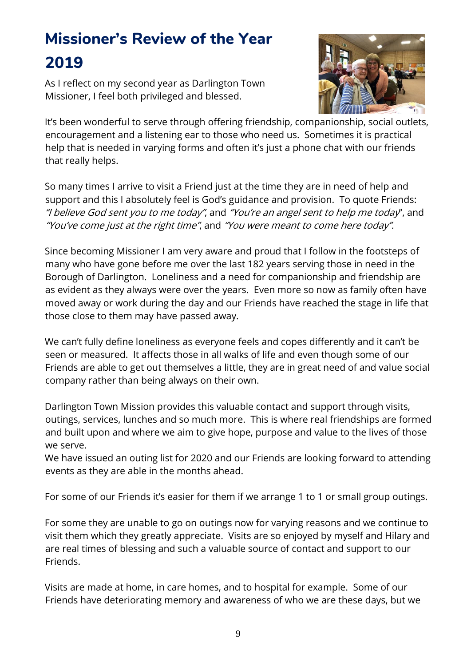# **Missioner's Review of the Year 2019**

As I reflect on my second year as Darlington Town Missioner, I feel both privileged and blessed.



It's been wonderful to serve through offering friendship, companionship, social outlets, encouragement and a listening ear to those who need us. Sometimes it is practical help that is needed in varying forms and often it's just a phone chat with our friends that really helps.

So many times I arrive to visit a Friend just at the time they are in need of help and support and this I absolutely feel is God's guidance and provision. To quote Friends: "I believe God sent you to me today", and "You're an angel sent to help me today", and "You've come just at the right time", and "You were meant to come here today".

Since becoming Missioner I am very aware and proud that I follow in the footsteps of many who have gone before me over the last 182 years serving those in need in the Borough of Darlington. Loneliness and a need for companionship and friendship are as evident as they always were over the years. Even more so now as family often have moved away or work during the day and our Friends have reached the stage in life that those close to them may have passed away.

We can't fully define loneliness as everyone feels and copes differently and it can't be seen or measured. It affects those in all walks of life and even though some of our Friends are able to get out themselves a little, they are in great need of and value social company rather than being always on their own.

Darlington Town Mission provides this valuable contact and support through visits, outings, services, lunches and so much more. This is where real friendships are formed and built upon and where we aim to give hope, purpose and value to the lives of those we serve.

We have issued an outing list for 2020 and our Friends are looking forward to attending events as they are able in the months ahead.

For some of our Friends it's easier for them if we arrange 1 to 1 or small group outings.

For some they are unable to go on outings now for varying reasons and we continue to visit them which they greatly appreciate. Visits are so enjoyed by myself and Hilary and are real times of blessing and such a valuable source of contact and support to our Friends.

Visits are made at home, in care homes, and to hospital for example. Some of our Friends have deteriorating memory and awareness of who we are these days, but we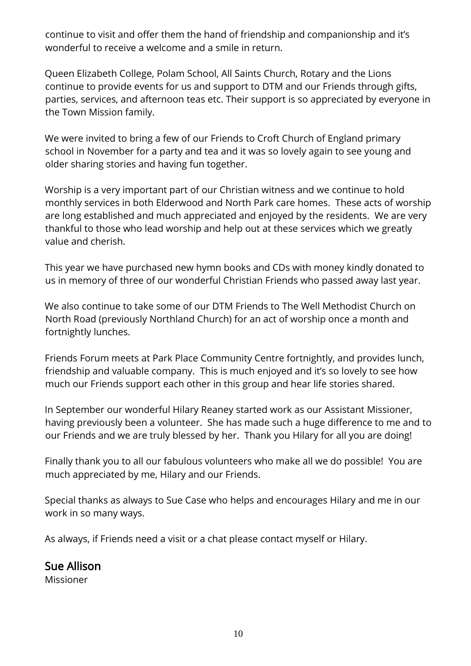continue to visit and offer them the hand of friendship and companionship and it's wonderful to receive a welcome and a smile in return.

Queen Elizabeth College, Polam School, All Saints Church, Rotary and the Lions continue to provide events for us and support to DTM and our Friends through gifts, parties, services, and afternoon teas etc. Their support is so appreciated by everyone in the Town Mission family.

We were invited to bring a few of our Friends to Croft Church of England primary school in November for a party and tea and it was so lovely again to see young and older sharing stories and having fun together.

Worship is a very important part of our Christian witness and we continue to hold monthly services in both Elderwood and North Park care homes. These acts of worship are long established and much appreciated and enjoyed by the residents. We are very thankful to those who lead worship and help out at these services which we greatly value and cherish.

This year we have purchased new hymn books and CDs with money kindly donated to us in memory of three of our wonderful Christian Friends who passed away last year.

We also continue to take some of our DTM Friends to The Well Methodist Church on North Road (previously Northland Church) for an act of worship once a month and fortnightly lunches.

Friends Forum meets at Park Place Community Centre fortnightly, and provides lunch, friendship and valuable company. This is much enjoyed and it's so lovely to see how much our Friends support each other in this group and hear life stories shared.

In September our wonderful Hilary Reaney started work as our Assistant Missioner, having previously been a volunteer. She has made such a huge difference to me and to our Friends and we are truly blessed by her. Thank you Hilary for all you are doing!

Finally thank you to all our fabulous volunteers who make all we do possible! You are much appreciated by me, Hilary and our Friends.

Special thanks as always to Sue Case who helps and encourages Hilary and me in our work in so many ways.

As always, if Friends need a visit or a chat please contact myself or Hilary.

Sue Allison Missioner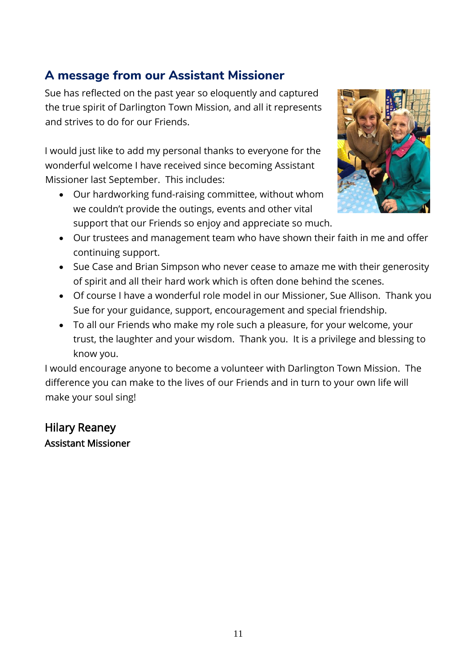# **A message from our Assistant Missioner**

Sue has reflected on the past year so eloquently and captured the true spirit of Darlington Town Mission, and all it represents and strives to do for our Friends.

I would just like to add my personal thanks to everyone for the wonderful welcome I have received since becoming Assistant Missioner last September. This includes:

• Our hardworking fund-raising committee, without whom we couldn't provide the outings, events and other vital support that our Friends so enjoy and appreciate so much.



- Our trustees and management team who have shown their faith in me and offer continuing support.
- Sue Case and Brian Simpson who never cease to amaze me with their generosity of spirit and all their hard work which is often done behind the scenes.
- Of course I have a wonderful role model in our Missioner, Sue Allison. Thank you Sue for your guidance, support, encouragement and special friendship.
- To all our Friends who make my role such a pleasure, for your welcome, your trust, the laughter and your wisdom. Thank you. It is a privilege and blessing to know you.

I would encourage anyone to become a volunteer with Darlington Town Mission. The difference you can make to the lives of our Friends and in turn to your own life will make your soul sing!

# Hilary Reaney Assistant Missioner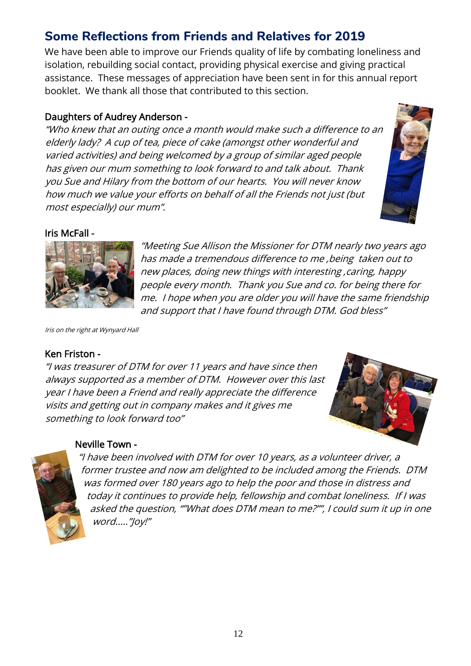# **Some Reflections from Friends and Relatives for 2019**

We have been able to improve our Friends quality of life by combating loneliness and isolation, rebuilding social contact, providing physical exercise and giving practical assistance. These messages of appreciation have been sent in for this annual report booklet. We thank all those that contributed to this section.

#### Daughters of Audrey Anderson -

"Who knew that an outing once <sup>a</sup> month would make such <sup>a</sup> difference to an elderly lady? A cup of tea, piece of cake (amongst other wonderful and varied activities) and being welcomed by <sup>a</sup> group of similar aged people has given our mum something to look forward to and talk about. Thank you Sue and Hilary from the bottom of our hearts. You will never know how much we value your efforts on behalf of all the Friends not just (but most especially) our mum".



#### Iris McFall -



"Meeting Sue Allison the Missioner for DTM nearly two years ago has made <sup>a</sup> tremendous difference to me ,being taken out to new places, doing new things with interesting ,caring, happy people every month. Thank you Sue and co. for being there for me. I hope when you are older you will have the same friendship and support that I have found through DTM. God bless"

Iris on the right at Wynyard Hall

#### Ken Friston -

"I was treasurer of DTM for over 11 years and have since then always supported as <sup>a</sup> member of DTM. However over this last year I have been <sup>a</sup> Friend and really appreciate the difference visits and getting out in company makes and it gives me something to look forward too"



#### Neville Town -



"I have been involved with DTM for over 10 years, as <sup>a</sup> volunteer driver, <sup>a</sup> former trustee and now am delighted to be included among the Friends. DTM was formed over 180 years ago to help the poor and those in distress and today it continues to provide help, fellowship and combat loneliness. If I was asked the question, ""What does DTM mean to me?"", I could sum it up in one word....."Joy!"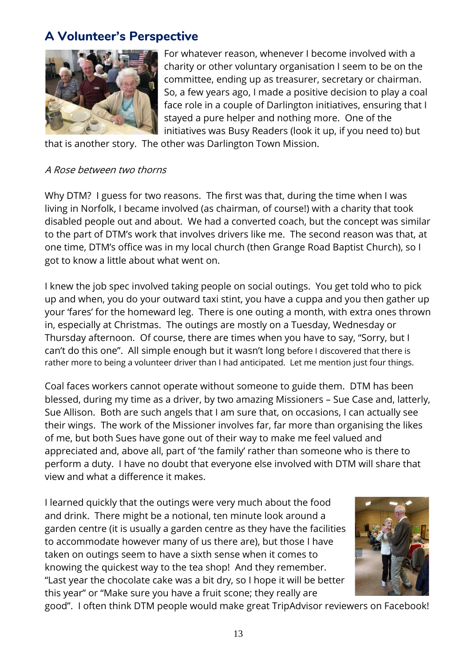# **A Volunteer's Perspective**



For whatever reason, whenever I become involved with a charity or other voluntary organisation I seem to be on the committee, ending up as treasurer, secretary or chairman. So, a few years ago, I made a positive decision to play a coal face role in a couple of Darlington initiatives, ensuring that I stayed a pure helper and nothing more. One of the initiatives was Busy Readers (look it up, if you need to) but

that is another story. The other was Darlington Town Mission.

#### A Rose between two thorns

Why DTM? I guess for two reasons. The first was that, during the time when I was living in Norfolk, I became involved (as chairman, of course!) with a charity that took disabled people out and about. We had a converted coach, but the concept was similar to the part of DTM's work that involves drivers like me. The second reason was that, at one time, DTM's office was in my local church (then Grange Road Baptist Church), so I got to know a little about what went on.

I knew the job spec involved taking people on social outings. You get told who to pick up and when, you do your outward taxi stint, you have a cuppa and you then gather up your 'fares' for the homeward leg. There is one outing a month, with extra ones thrown in, especially at Christmas. The outings are mostly on a Tuesday, Wednesday or Thursday afternoon. Of course, there are times when you have to say, "Sorry, but I can't do this one". All simple enough but it wasn't long before I discovered that there is rather more to being a volunteer driver than I had anticipated. Let me mention just four things.

Coal faces workers cannot operate without someone to guide them. DTM has been blessed, during my time as a driver, by two amazing Missioners – Sue Case and, latterly, Sue Allison. Both are such angels that I am sure that, on occasions, I can actually see their wings. The work of the Missioner involves far, far more than organising the likes of me, but both Sues have gone out of their way to make me feel valued and appreciated and, above all, part of 'the family' rather than someone who is there to perform a duty. I have no doubt that everyone else involved with DTM will share that view and what a difference it makes.

I learned quickly that the outings were very much about the food and drink. There might be a notional, ten minute look around a garden centre (it is usually a garden centre as they have the facilities to accommodate however many of us there are), but those I have taken on outings seem to have a sixth sense when it comes to knowing the quickest way to the tea shop! And they remember. "Last year the chocolate cake was a bit dry, so I hope it will be better this year" or "Make sure you have a fruit scone; they really are



good". I often think DTM people would make great TripAdvisor reviewers on Facebook!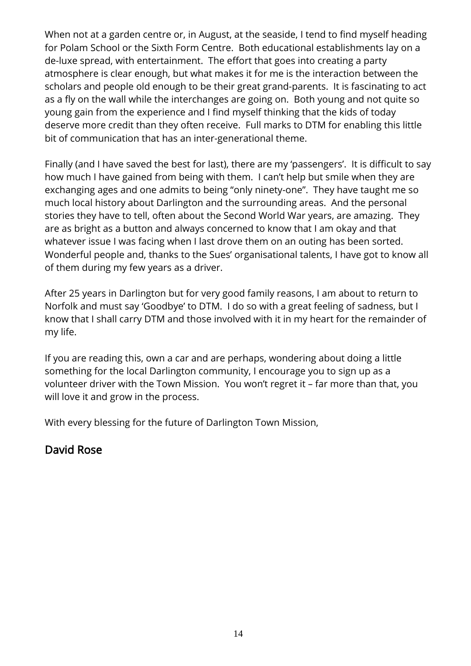When not at a garden centre or, in August, at the seaside, I tend to find myself heading for Polam School or the Sixth Form Centre. Both educational establishments lay on a de-luxe spread, with entertainment. The effort that goes into creating a party atmosphere is clear enough, but what makes it for me is the interaction between the scholars and people old enough to be their great grand-parents. It is fascinating to act as a fly on the wall while the interchanges are going on. Both young and not quite so young gain from the experience and I find myself thinking that the kids of today deserve more credit than they often receive. Full marks to DTM for enabling this little bit of communication that has an inter-generational theme.

Finally (and I have saved the best for last), there are my 'passengers'. It is difficult to say how much I have gained from being with them. I can't help but smile when they are exchanging ages and one admits to being "only ninety-one". They have taught me so much local history about Darlington and the surrounding areas. And the personal stories they have to tell, often about the Second World War years, are amazing. They are as bright as a button and always concerned to know that I am okay and that whatever issue I was facing when I last drove them on an outing has been sorted. Wonderful people and, thanks to the Sues' organisational talents, I have got to know all of them during my few years as a driver.

After 25 years in Darlington but for very good family reasons, I am about to return to Norfolk and must say 'Goodbye' to DTM. I do so with a great feeling of sadness, but I know that I shall carry DTM and those involved with it in my heart for the remainder of my life.

If you are reading this, own a car and are perhaps, wondering about doing a little something for the local Darlington community, I encourage you to sign up as a volunteer driver with the Town Mission. You won't regret it – far more than that, you will love it and grow in the process.

With every blessing for the future of Darlington Town Mission,

# David Rose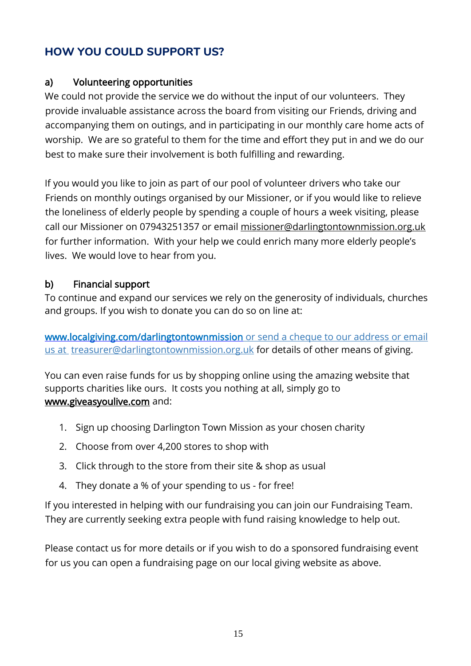# **HOW YOU COULD SUPPORT US?**

## a) Volunteering opportunities

We could not provide the service we do without the input of our volunteers. They provide invaluable assistance across the board from visiting our Friends, driving and accompanying them on outings, and in participating in our monthly care home acts of worship. We are so grateful to them for the time and effort they put in and we do our best to make sure their involvement is both fulfilling and rewarding.

If you would you like to join as part of our pool of volunteer drivers who take our Friends on monthly outings organised by our Missioner, or if you would like to relieve the loneliness of elderly people by spending a couple of hours a week visiting, please call our Missioner on 07943251357 or email [missioner@darlingtontownmission.org.uk](mailto:missioner@darlingtontownmission.org.uk) for further information. With your help we could enrich many more elderly people's lives. We would love to hear from you.

## b) Financial support

To continue and expand our services we rely on the generosity of [individuals,](http://www.localgiving.com/darlingtontownmission) churches [and](http://www.localgiving.com/darlingtontownmission) [groups.](http://www.localgiving.com/darlingtontownmission) If you wish to donate you can do so on line at:

[www.localgiving.com/](http://www.localgiving.com/)[darlingtontownmission](http://www.localgiving.com/darlingtontownmission) or send a cheque to our [address](mailto:%20or%20send%20a%20cheque%20to%20our%20address%20or%20email%20us%20at) or email [us](mailto:%20or%20send%20a%20cheque%20to%20our%20address%20or%20email%20us%20at) at [treasurer@darlingtontownmission.org.uk](mailto:treasurer@darlingtontownmission.org.uk) for details of other means of giving.

You can even raise funds for us by shopping online using the amazing website that supports charities like ours. It costs you nothing at all, simply go to [www.giveasyoulive.com](http://www.giveasyoulive.com/) and:

- 1. Sign up choosing Darlington Town Mission as your chosen charity
- 2. Choose from over 4,200 stores to shop with
- 3. Click through to the store from their site & shop as usual
- 4. They donate a % of your spending to us for free!

If you interested in helping with our fundraising you can join our Fundraising Team. They are currently seeking extra people with fund raising knowledge to help out.

Please contact us for more details or if you wish to do a sponsored fundraising event for us you can open a fundraising page on our local giving website as above.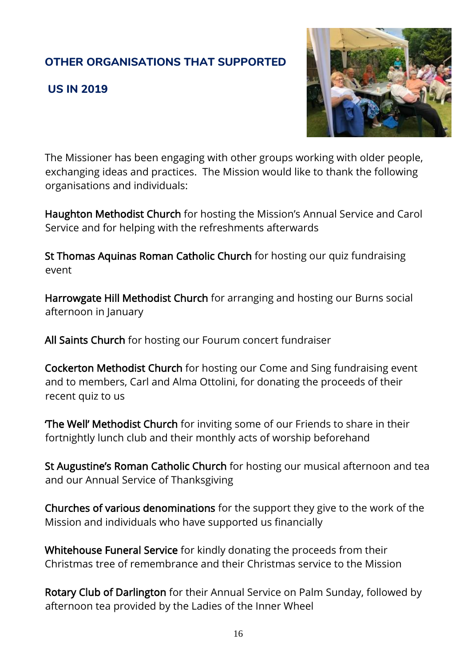# **OTHER ORGANISATIONS THAT SUPPORTED**

### **US IN 2019**



The Missioner has been engaging with other groups working with older people, exchanging ideas and practices. The Mission would like to thank the following organisations and individuals:

Haughton Methodist Church for hosting the Mission's Annual Service and Carol Service and for helping with the refreshments afterwards

St Thomas Aquinas Roman Catholic Church for hosting our quiz fundraising event

Harrowgate Hill Methodist Church for arranging and hosting our Burns social afternoon in January

All Saints Church for hosting our Fourum concert fundraiser

Cockerton Methodist Church for hosting our Come and Sing fundraising event and to members, Carl and Alma Ottolini, for donating the proceeds of their recent quiz to us

'The Well' Methodist Church for inviting some of our Friends to share in their fortnightly lunch club and their monthly acts of worship beforehand

St Augustine's Roman Catholic Church for hosting our musical afternoon and tea and our Annual Service of Thanksgiving

Churches of various denominations for the support they give to the work of the Mission and individuals who have supported us financially

Whitehouse Funeral Service for kindly donating the proceeds from their Christmas tree of remembrance and their Christmas service to the Mission

Rotary Club of Darlington for their Annual Service on Palm Sunday, followed by afternoon tea provided by the Ladies of the Inner Wheel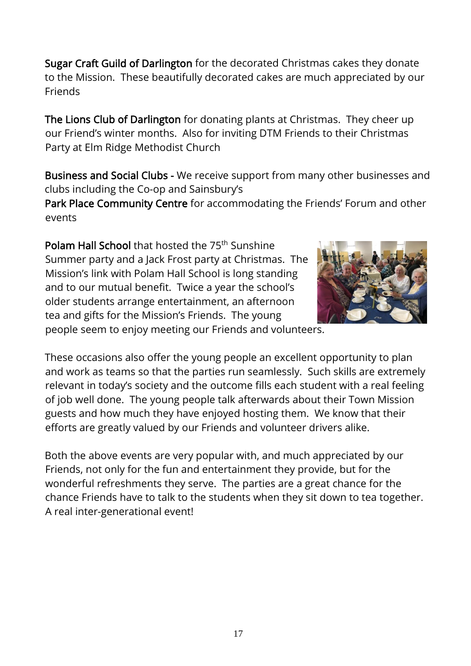Sugar Craft Guild of Darlington for the decorated Christmas cakes they donate to the Mission. These beautifully decorated cakes are much appreciated by our Friends

The Lions Club of Darlington for donating plants at Christmas. They cheer up our Friend's winter months. Also for inviting DTM Friends to their Christmas Party at Elm Ridge Methodist Church

Business and Social Clubs - We receive support from many other businesses and clubs including the Co-op and Sainsbury's

Park Place Community Centre for accommodating the Friends' Forum and other events

Polam Hall School that hosted the 75<sup>th</sup> Sunshine Summer party and a Jack Frost party at Christmas. The Mission's link with Polam Hall School is long standing and to our mutual benefit. Twice a year the school's older students arrange entertainment, an afternoon tea and gifts for the Mission's Friends. The young



people seem to enjoy meeting our Friends and volunteers.

These occasions also offer the young people an excellent opportunity to plan and work as teams so that the parties run seamlessly. Such skills are extremely relevant in today's society and the outcome fills each student with a real feeling of job well done. The young people talk afterwards about their Town Mission guests and how much they have enjoyed hosting them. We know that their efforts are greatly valued by our Friends and volunteer drivers alike.

Both the above events are very popular with, and much appreciated by our Friends, not only for the fun and entertainment they provide, but for the wonderful refreshments they serve. The parties are a great chance for the chance Friends have to talk to the students when they sit down to tea together. A real inter-generational event!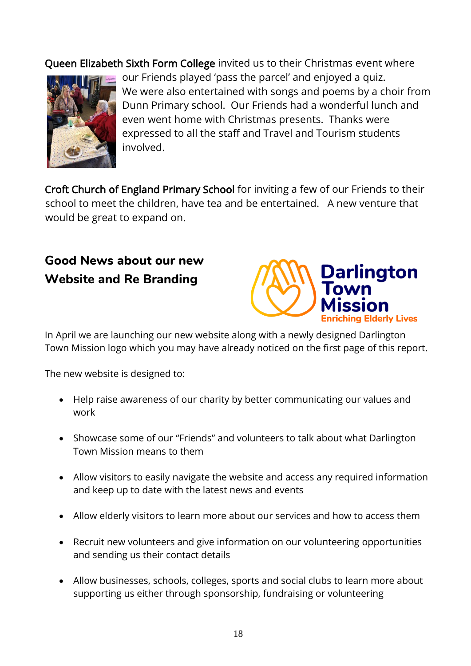Queen Elizabeth Sixth Form College invited us to their Christmas event where



our Friends played 'pass the parcel' and enjoyed a quiz. We were also entertained with songs and poems by a choir from Dunn Primary school. Our Friends had a wonderful lunch and even went home with Christmas presents. Thanks were expressed to all the staff and Travel and Tourism students involved.

Croft Church of England Primary School for inviting a few of our Friends to their school to meet the children, have tea and be entertained. A new venture that would be great to expand on.

# **Good News about our new Website and Re Branding**



In April we are launching our new website along with a newly designed Darlington Town Mission logo which you may have already noticed on the first page of this report.

The new website is designed to:

- Help raise awareness of our charity by better communicating our values and work
- Showcase some of our "Friends" and volunteers to talk about what Darlington Town Mission means to them
- Allow visitors to easily navigate the website and access any required information and keep up to date with the latest news and events
- Allow elderly visitors to learn more about our services and how to access them
- Recruit new volunteers and give information on our volunteering opportunities and sending us their contact details
- Allow businesses, schools, colleges, sports and social clubs to learn more about supporting us either through sponsorship, fundraising or volunteering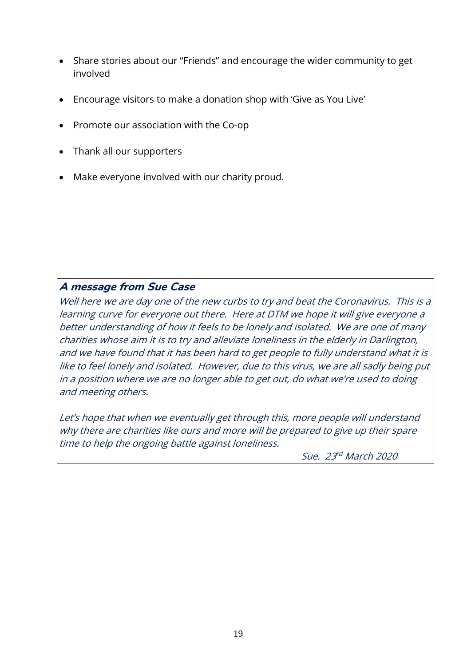- Share stories about our "Friends" and encourage the wider community to get involved
- Encourage visitors to make a donation shop with 'Give as You Live'
- Promote our association with the Co-op
- Thank all our supporters
- Make everyone involved with our charity proud.

#### **A message from Sue Case**

Well here we are day one of the new curbs to try and beat the Coronavirus. This is a learning curve for everyone out there. Here at DTM we hope it will give everyone <sup>a</sup> better understanding of how it feels to be lonely and isolated. We are one of many charities whose aim it is to try and alleviate loneliness in the elderly in Darlington, and we have found that it has been hard to get people to fully understand what it is like to feel lonely and isolated. However, due to this virus, we are all sadly being put in <sup>a</sup> position where we are no longer able to get out, do what we're used to doing and meeting others.

Let's hope that when we eventually get through this, more people will understand why there are charities like ours and more will be prepared to give up their spare time to help the ongoing battle against loneliness.

Sue. 23<sup>rd</sup> March 2020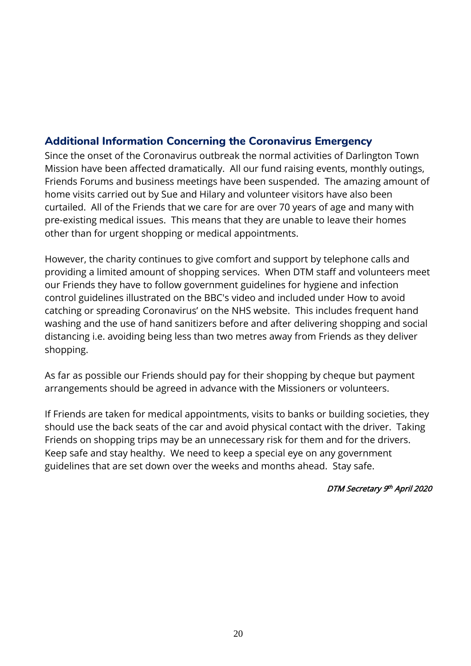## **Additional Information Concerning the Coronavirus Emergency**

Since the onset of the Coronavirus outbreak the normal activities of Darlington Town Mission have been affected dramatically. All our fund raising events, monthly outings, Friends Forums and business meetings have been suspended. The amazing amount of home visits carried out by Sue and Hilary and volunteer visitors have also been curtailed. All of the Friends that we care for are over 70 years of age and many with pre-existing medical issues. This means that they are unable to leave their homes other than for urgent shopping or medical appointments.

However, the charity continues to give comfort and support by telephone calls and providing a limited amount of shopping services. When DTM staff and volunteers meet our Friends they have to follow government guidelines for hygiene and infection control guidelines illustrated on the [BBC's](https://www.bbc.co.uk/news/av/health-51722269/coronavirus-how-do-i-protect-myself) video and included under How to [avoid](https://www.nhs.uk/conditions/coronavirus-covid-19/) catching or spreading [Coronavirus](https://www.nhs.uk/conditions/coronavirus-covid-19/)' on the NHS website. This includes frequent hand washing and the use of hand sanitizers before and after delivering shopping and social distancing i.e. avoiding being less than two metres away from Friends as they deliver shopping.

As far as possible our Friends should pay for their shopping by cheque but payment arrangements should be agreed in advance with the Missioners or volunteers.

If Friends are taken for medical appointments, visits to banks or building societies, they should use the back seats of the car and avoid physical contact with the driver. Taking Friends on shopping trips may be an unnecessary risk for them and for the drivers. Keep safe and stay healthy. We need to keep a special eye on any government guidelines that are set down over the weeks and months ahead. Stay safe.

#### DTM Secretary 9<sup>th</sup> April 2020